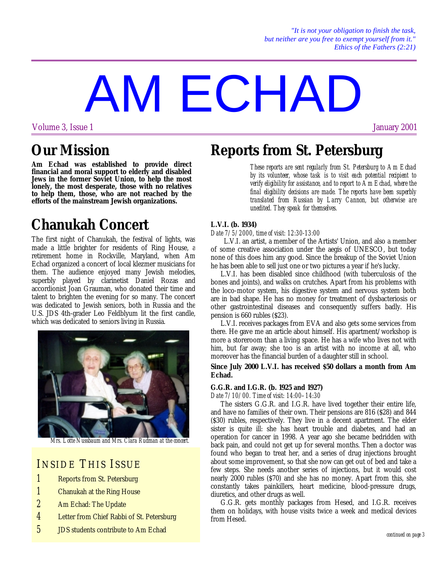# AM ECHAD

Volume 3, Issue 1 January 2001

## **Our Mission**

**Am Echad was established to provide direct financial and moral support to elderly and disabled Jews in the former Soviet Union, to help the most lonely, the most desperate, those with no relatives to help them, those, who are not reached by the efforts of the mainstream Jewish organizations.**

# **Chanukah Concert**

The first night of Chanukah, the festival of lights, was made a little brighter for residents of Ring House, a retirement home in Rockville, Maryland, when Am Echad organized a concert of local klezmer musicians for them. The audience enjoyed many Jewish melodies, superbly played by clarinetist Daniel Rozas and accordionist Joan Grauman, who donated their time and talent to brighten the evening for so many. The concert was dedicated to Jewish seniors, both in Russia and the U.S. JDS 4th-grader Leo Feldblyum lit the first candle, which was dedicated to seniors living in Russia.



*Mrs. Lotte Nussbaum and Mrs. Clara Rudman at the concert.*

## INSIDE THIS ISSUE

- *1* Reports from St. Petersburg
- *1* Chanukah at the Ring House
- *2* Am Echad: The Update
- *4* Letter from Chief Rabbi of St. Petersburg
- *5* JDS students contribute to Am Echad

# **Reports from St. Petersburg**

*These reports are sent regularly from St. Petersburg to Am Echad by its volunteer, whose task is to visit each potential recipient to verify eligibility for assistance, and to report to Am Echad, where the final eligibility decisions are made. The reports have been superbly translated from Russian by Larry Cannon, but otherwise are unedited. They speak for themselves.*

#### **L.V.I. (b. 1934)**

#### *Date 7/5/2000, time of visit: 12:30-13:00*

L.V.I. an artist, a member of the Artists' Union, and also a member of some creative association under the aegis of UNESCO, but today none of this does him any good. Since the breakup of the Soviet Union he has been able to sell just one or two pictures a year if he's lucky.

L.V.I. has been disabled since childhood (with tuberculosis of the bones and joints), and walks on crutches. Apart from his problems with the loco-motor system, his digestive system and nervous system both are in bad shape. He has no money for treatment of dysbacteriosis or other gastrointestinal diseases and consequently suffers badly. His pension is 660 rubles (\$23).

L.V.I. receives packages from EVA and also gets some services from there. He gave me an article about himself. His apartment/workshop is more a storeroom than a living space. He has a wife who lives not with him, but far away; she too is an artist with no income at all, who moreover has the financial burden of a daughter still in school.

#### **Since July 2000 L.V.I. has received \$50 dollars a month from Am Echad.**

#### **G.G.R. and I.G.R. (b. 1925 and 1927)**

*Date 7/10/00. Time of visit: 14:00–14:30*

The sisters G.G.R. and I.G.R. have lived together their entire life, and have no families of their own. Their pensions are 816 (\$28) and 844 (\$30) rubles, respectively. They live in a decent apartment. The elder sister is quite ill: she has heart trouble and diabetes, and had an operation for cancer in 1998. A year ago she became bedridden with back pain, and could not get up for several months. Then a doctor was found who began to treat her, and a series of drug injections brought about some improvement, so that she now can get out of bed and take a few steps. She needs another series of injections, but it would cost nearly 2000 rubles (\$70) and she has no money. Apart from this, she constantly takes painkillers, heart medicine, blood-pressure drugs, diuretics, and other drugs as well.

G.G.R. gets monthly packages from Hesed, and I.G.R. receives them on holidays, with house visits twice a week and medical devices from Hesed.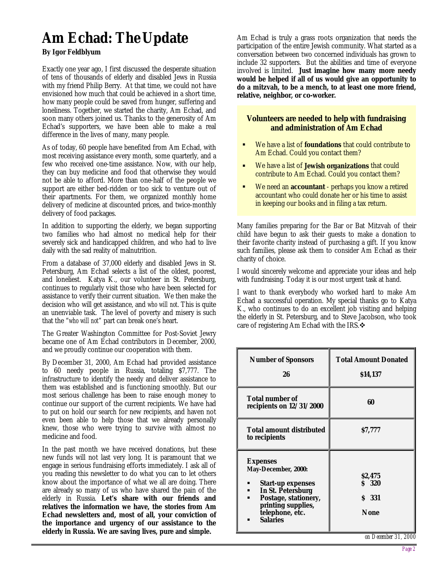# **Am Echad: TheUpdate**

#### **By Igor Feldblyum**

Exactly one year ago, I first discussed the desperate situation of tens of thousands of elderly and disabled Jews in Russia with my friend Philip Berry. At that time, we could not have envisioned how much that could be achieved in a short time, how many people could be saved from hunger, suffering and loneliness. Together, we started the charity, Am Echad, and soon many others joined us. Thanks to the generosity of Am Echad's supporters, we have been able to make a real difference in the lives of many, many people.

As of today, 60 people have benefited from Am Echad, with most receiving assistance every month, some quarterly, and a few who received one-time assistance. Now, with our help, they can buy medicine and food that otherwise they would not be able to afford. More than one-half of the people we support are either bed-ridden or too sick to venture out of their apartments. For them, we organized monthly home delivery of medicine at discounted prices, and twice-monthly delivery of food packages.

In addition to supporting the elderly, we began supporting two families who had almost no medical help for their severely sick and handicapped children, and who had to live daily with the sad reality of malnutrition.

From a database of 37,000 elderly and disabled Jews in St. Petersburg, Am Echad selects a list of the oldest, poorest, and loneliest. Katya K., our volunteer in St. Petersburg, continues to regularly visit those who have been selected for assistance to verify their current situation. We then make the decision who will get assistance, and *who will not*. This is quite an unenviable task. The level of poverty and misery is such that the "*who will not*" part can break one's heart.

The Greater Washington Committee for Post-Soviet Jewry became one of Am Echad contributors in December, 2000, and we proudly continue our cooperation with them.

By December 31, 2000, Am Echad had provided assistance to 60 needy people in Russia, totaling \$7,777. The infrastructure to identify the needy and deliver assistance to them was established and is functioning smoothly. But our most serious challenge has been to raise enough money to continue our support of the current recipients. We have had to put on hold our search for new recipients, and haven not even been able to help those that we already personally knew, those who were trying to survive with almost no medicine and food.

In the past month we have received donations, but these new funds will not last very long. It is paramount that we engage in serious fundraising efforts immediately. I ask all of you reading this newsletter to do what you can to let others know about the importance of what we all are doing. There are already so many of us who have shared the pain of the elderly in Russia. **Let's share with our friends and relatives the information we have, the stories from Am Echad newsletters and, most of all, your conviction of the importance and urgency of our assistance to the elderly in Russia. We are saving lives, pure and simple.**

Am Echad is truly a grass roots organization that needs the participation of the entire Jewish community. What started as a conversation between two concerned individuals has grown to include 32 supporters. But the abilities and time of everyone involved is limited. **Just imagine how many more needy would be helped if all of us would give an opportunity to do a mitzvah, to be a mench, to at least one more friend, relative, neighbor, or co-worker.**

#### **Volunteers are needed to help with fundraising and administration of Am Echad**

- We have a list of **foundations** that could contribute to Am Echad. Could you contact them?
- " We have a list of **Jewish organizations** that could contribute to Am Echad. Could you contact them?
- We need an **accountant** perhaps you know a retired accountant who could donate her or his time to assist in keeping our books and in filing a tax return.

Many families preparing for the Bar or Bat Mitzvah of their child have begun to ask their guests to make a donation to their favorite charity instead of purchasing a gift. If you know such families, please ask them to consider Am Echad as their charity of choice.

I would sincerely welcome and appreciate your ideas and help with fundraising. Today it is our most urgent task at hand.

I want to thank everybody who worked hard to make Am Echad a successful operation. My special thanks go to Katya K., who continues to do an excellent job visiting and helping the elderly in St. Petersburg, and to Steve Jacobson, who took care of registering Am Echad with the IRS. $\cdot$ 

| <b>Number of Sponsors</b><br>26                                                                                                                                                  | <b>Total Amount Donated</b><br>\$14,137                    |
|----------------------------------------------------------------------------------------------------------------------------------------------------------------------------------|------------------------------------------------------------|
| <b>Total number of</b><br>recipients on $12/31/2000$                                                                                                                             | 60                                                         |
| <b>Total amount distributed</b><br>to recipients                                                                                                                                 | \$7,777                                                    |
| <b>Expenses</b><br>May-December, 2000:<br><b>Start-up expenses</b><br>In St. Petersburg<br>▪<br>Postage, stationery,<br>printing supplies,<br>telephone, etc.<br><b>Salaries</b> | <b>S2,475</b><br>S <sub>320</sub><br>\$ 331<br><b>None</b> |

*on December 31, 2000*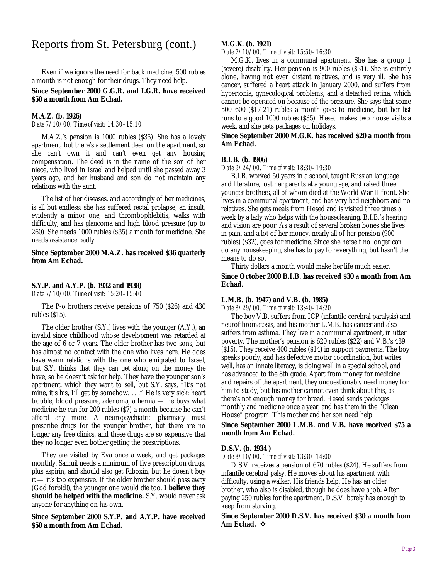## Reports from St. Petersburg (cont.)

Even if we ignore the need for back medicine, 500 rubles a month is not enough for their drugs. They need help.

#### **Since September 2000 G.G.R. and I.G.R. have received \$50 a month from Am Echad.**

#### **M.A.Z. (b. 1926)**

*Date 7/10/00. Time of visit: 14:30–15:10*

M.A.Z.'s pension is 1000 rubles (\$35). She has a lovely apartment, but there's a settlement deed on the apartment, so she can't own it and can't even get any housing compensation. The deed is in the name of the son of her niece, who lived in Israel and helped until she passed away 3 years ago, and her husband and son do not maintain any relations with the aunt.

The list of her diseases, and accordingly of her medicines, is all but endless: she has suffered rectal prolapse, an insult, evidently a minor one, and thrombophlebitis, walks with difficulty, and has glaucoma and high blood pressure (up to 260). She needs 1000 rubles (\$35) a month for medicine. She needs assistance badly.

#### **Since September 2000 M.A.Z. has received \$36 quarterly from Am Echad.**

#### **S.Y.P. and A.Y.P. (b. 1932 and 1938)**

*Date 7/10/00. Time of visit: 15:20–15:40*

The P-o brothers receive pensions of 750 (\$26) and 430 rubles (\$15).

The older brother (S.Y.) lives with the younger (A.Y.), an invalid since childhood whose development was retarded at the age of 6 or 7 years. The older brother has two sons, but has almost no contact with the one who lives here. He does have warm relations with the one who emigrated to Israel, but S.Y. thinks that they can get along on the money the have, so he doesn't ask for help. They have the younger son's apartment, which they want to sell, but S.Y. says, "It's not mine, it's his, I'll get by somehow. . . ." He is very sick: heart trouble, blood pressure, adenoma, a hernia — he buys what medicine he can for 200 rubles (\$7) a month because he can't afford any more. A neuropsychiatric pharmacy must prescribe drugs for the younger brother, but there are no longer any free clinics, and these drugs are so expensive that they no longer even bother getting the prescriptions.

They are visited by Eva once a week, and get packages monthly. Samuil needs a minimum of five prescription drugs, plus aspirin, and should also get Riboxin, but he doesn't buy it — it's too expensive. If the older brother should pass away (God forbid!), the younger one would die too. **I believe they should be helped with the medicine.** S.Y. would never ask anyone for anything on his own.

**Since September 2000 S.Y.P. and A.Y.P. have received \$50 a month from Am Echad.**

#### **M.G.K. (b. 1921)**

*Date 7/10/00. Time of visit: 15:50–16:30*

M.G.K. lives in a communal apartment. She has a group 1 (severe) disability. Her pension is 900 rubles (\$31). She is entirely alone, having not even distant relatives, and is very ill. She has cancer, suffered a heart attack in January 2000, and suffers from hypertonia, gynecological problems, and a detached retina, which cannot be operated on because of the pressure. She says that some 500–600 (\$17-21) rubles a month goes to medicine, but her list runs to a good 1000 rubles (\$35). Hesed makes two house visits a week, and she gets packages on holidays.

#### **Since September 2000 M.G.K. has received \$20 a month from Am Echad.**

#### **B.I.B. (b. 1906)**

*Date 9/24/00. Time of visit: 18:30–19:30*

B.I.B. worked 50 years in a school, taught Russian language and literature, lost her parents at a young age, and raised three younger brothers, all of whom died at the World War II front. She lives in a communal apartment, and has very bad neighbors and no relatives. She gets meals from Hesed and is visited three times a week by a lady who helps with the housecleaning. B.I.B.'s hearing and vision are poor. As a result of several broken bones she lives in pain, and a lot of her money, nearly all of her pension (900 rubles) (\$32), goes for medicine. Since she herself no longer can do any housekeeping, she has to pay for everything, but hasn't the means to do so.

Thirty dollars a month would make her life much easier.

**Since October 2000 B.I.B. has received \$30 a month from Am Echad.**

#### **L.M.B. (b. 1947) and V.B. (b. 1985)**

*Date 8/29/00. Time of visit: 13:40–14:20*

The boy V.B. suffers from ICP (infantile cerebral paralysis) and neurofibromatosis, and his mother L.M.B. has cancer and also suffers from asthma. They live in a communal apartment, in utter poverty. The mother's pension is 620 rubles (\$22) and V.B.'s 439 (\$15). They receive 400 rubles (\$14) in support payments. The boy speaks poorly, and has defective motor coordination, but writes well, has an innate literacy, is doing well in a special school, and has advanced to the 8th grade. Apart from money for medicine and repairs of the apartment, they unquestionably need money for him to study, but his mother cannot even think about this, as there's not enough money for bread. Hesed sends packages monthly and medicine once a year, and has them in the "Clean House" program. This mother and her son need help.

**Since September 2000 L.M.B. and V.B. have received \$75 a month from Am Echad.**

#### **D.S.V. (b. 1934 )**

*Date 8/10/00. Time of visit: 13:30–14:00*

D.S.V. receives a pension of 670 rubles (\$24). He suffers from infantile cerebral palsy. He moves about his apartment with difficulty, using a walker. His friends help. He has an older brother, who also is disabled, though he does have a job. After paying 250 rubles for the apartment, D.S.V. barely has enough to keep from starving.

#### **Since September 2000 D.S.V. has received \$30 a month from Am Echad.** !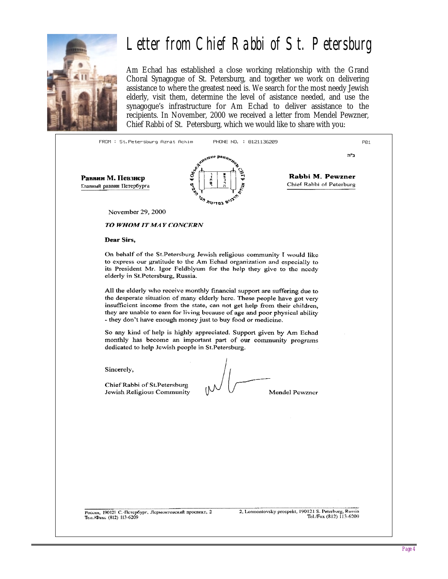

# *Letter from Chief Rabbi of St. Petersburg*

Am Echad has established a close working relationship with the Grand Choral Synagogue of St. Petersburg, and together we work on delivering assistance to where the greatest need is. We search for the most needy Jewish elderly, visit them, determine the level of asistance needed, and use the synagogue's infrastructure for Am Echad to deliver assistance to the recipients. In November, 2000 we received a letter from Mendel Pewzner, Chief Rabbi of St. Petersburg, which we would like to share with you:

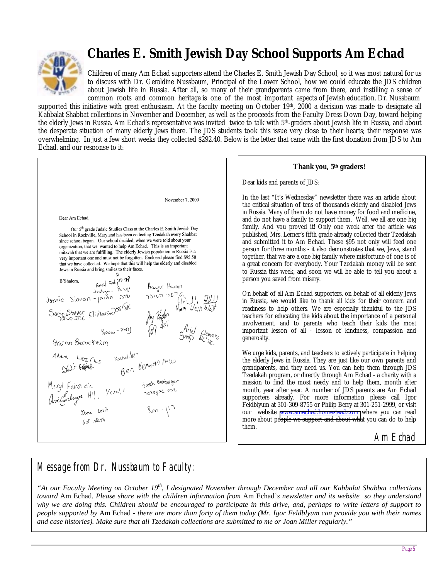

## **Charles E. Smith Jewish Day School Supports Am Echad**

Children of many Am Echad supporters attend the Charles E. Smith Jewish Day School, so it was most natural for us to discuss with Dr. Geraldine Nussbaum, Principal of the Lower School, how we could educate the JDS children about Jewish life in Russia. After all, so many of their grandparents came from there, and instilling a sense of common roots and common heritage is one of the most important aspects of Jewish education. Dr. Nussbaum

supported this initiative with great enthusiasm. At the faculty meeting on October 19<sup>th</sup>, 2000 a decision was made to designate all Kabbalat Shabbat collections in November and December, as well as the proceeds from the Faculty Dress Down Day, toward helping the elderly Jews in Russia. Am Echad's representative was invited twice to talk with 5th-graders about Jewish life in Russia, and about the desperate situation of many elderly Jews there. The JDS students took this issue very close to their hearts; their response was overwhelming. In just a few short weeks they collected \$292.40. Below is the letter that came with the first donation from JDS to Am Echad, and our response to it:



## *Message from Dr. Nussbaum to Faculty:*

*"At our Faculty Meeting on October 19th, I designated November through December and all our Kabbalat Shabbat collections toward* Am Echad*. Please share with the children information from* Am Echad'*s newsletter and its website so they understand why we are doing this. Children should be encouraged to participate in this drive, and, perhaps to write letters of support to people supported by* Am Echad *- there are more than forty of them today (Mr. Igor Feldblyum can provide you with their names and case histories). Make sure that all Tzedakah collections are submitted to me or Joan Miller regularly."*